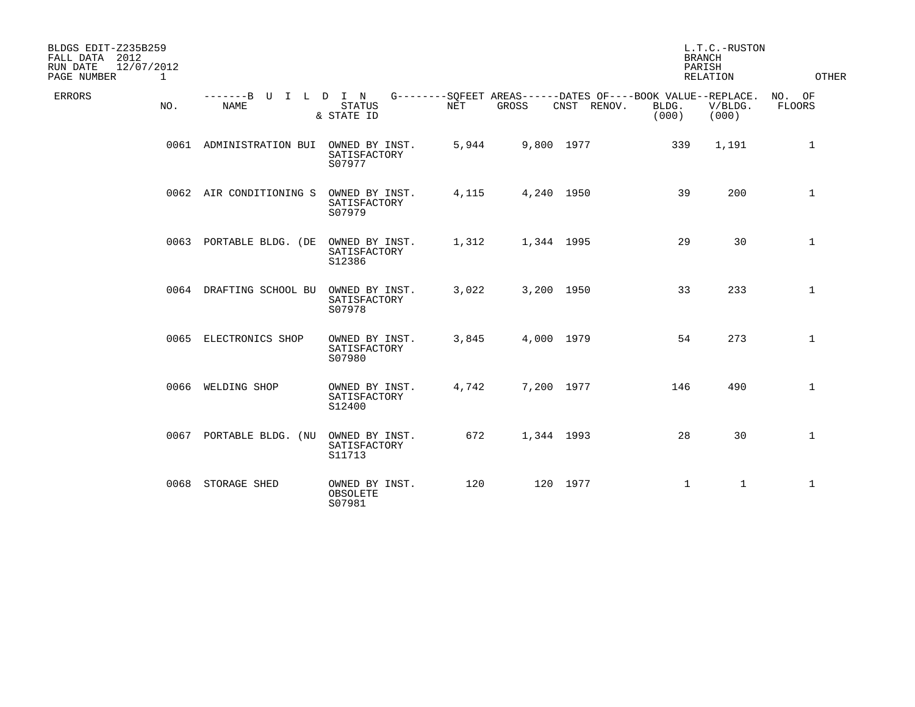| BLDGS EDIT-Z235B259<br>FALL DATA 2012<br>12/07/2012<br>RUN DATE<br>PAGE NUMBER<br>$\mathbf{1}$ |                                     |                                          |       |            |             |                                                                               | L.T.C.-RUSTON<br><b>BRANCH</b><br>PARISH<br>RELATION | OTHER            |
|------------------------------------------------------------------------------------------------|-------------------------------------|------------------------------------------|-------|------------|-------------|-------------------------------------------------------------------------------|------------------------------------------------------|------------------|
| ERRORS<br>NO.                                                                                  | -------B U I L D I N<br><b>NAME</b> | <b>STATUS</b><br>& STATE ID              | NET   | GROSS      | CNST RENOV. | G--------SOFEET AREAS------DATES OF----BOOK VALUE--REPLACE.<br>BLDG.<br>(000) | V/BLDG.<br>(000)                                     | NO. OF<br>FLOORS |
|                                                                                                | 0061 ADMINISTRATION BUI             | OWNED BY INST.<br>SATISFACTORY<br>S07977 | 5,944 | 9,800 1977 |             | 339                                                                           | 1,191                                                | $\mathbf{1}$     |
|                                                                                                | 0062 AIR CONDITIONING S             | OWNED BY INST.<br>SATISFACTORY<br>S07979 | 4,115 | 4,240 1950 |             | 39                                                                            | 200                                                  | $\mathbf{1}$     |
|                                                                                                | 0063 PORTABLE BLDG. (DE             | OWNED BY INST.<br>SATISFACTORY<br>S12386 | 1,312 | 1,344 1995 |             | 29                                                                            | 30                                                   | $\mathbf{1}$     |
|                                                                                                | 0064 DRAFTING SCHOOL BU             | OWNED BY INST.<br>SATISFACTORY<br>S07978 | 3,022 | 3,200 1950 |             | 33                                                                            | 233                                                  | $\mathbf{1}$     |
|                                                                                                | 0065 ELECTRONICS SHOP               | OWNED BY INST.<br>SATISFACTORY<br>S07980 | 3,845 | 4,000 1979 |             | 54                                                                            | 273                                                  | $\mathbf{1}$     |
|                                                                                                | 0066 WELDING SHOP                   | OWNED BY INST.<br>SATISFACTORY<br>S12400 | 4,742 | 7,200 1977 |             | 146                                                                           | 490                                                  | $\mathbf{1}$     |
|                                                                                                | 0067 PORTABLE BLDG. (NU             | OWNED BY INST.<br>SATISFACTORY<br>S11713 | 672   | 1,344 1993 |             | 28                                                                            | 30                                                   | $\mathbf 1$      |
|                                                                                                | 0068 STORAGE SHED                   | OWNED BY INST.<br>OBSOLETE<br>S07981     | 120   |            | 120 1977    | $\mathbf{1}$                                                                  | $\mathbf{1}$                                         | $\mathbf{1}$     |